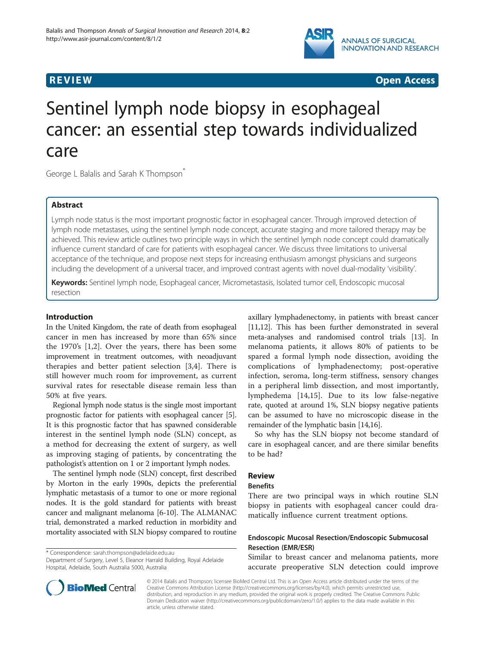

**REVIEW CONSTRUCTION CONSTRUCTION CONSTRUCTION CONSTRUCTS** 

# Sentinel lymph node biopsy in esophageal cancer: an essential step towards individualized care

George L Balalis and Sarah K Thompson<sup>®</sup>

# Abstract

Lymph node status is the most important prognostic factor in esophageal cancer. Through improved detection of lymph node metastases, using the sentinel lymph node concept, accurate staging and more tailored therapy may be achieved. This review article outlines two principle ways in which the sentinel lymph node concept could dramatically influence current standard of care for patients with esophageal cancer. We discuss three limitations to universal acceptance of the technique, and propose next steps for increasing enthusiasm amongst physicians and surgeons including the development of a universal tracer, and improved contrast agents with novel dual-modality 'visibility'.

Keywords: Sentinel lymph node, Esophageal cancer, Micrometastasis, Isolated tumor cell, Endoscopic mucosal resection

# Introduction

In the United Kingdom, the rate of death from esophageal cancer in men has increased by more than 65% since the 1970's [\[1](#page-3-0),[2\]](#page-3-0). Over the years, there has been some improvement in treatment outcomes, with neoadjuvant therapies and better patient selection [[3,4\]](#page-3-0). There is still however much room for improvement, as current survival rates for resectable disease remain less than 50% at five years.

Regional lymph node status is the single most important prognostic factor for patients with esophageal cancer [[5](#page-3-0)]. It is this prognostic factor that has spawned considerable interest in the sentinel lymph node (SLN) concept, as a method for decreasing the extent of surgery, as well as improving staging of patients, by concentrating the pathologist's attention on 1 or 2 important lymph nodes.

The sentinel lymph node (SLN) concept, first described by Morton in the early 1990s, depicts the preferential lymphatic metastasis of a tumor to one or more regional nodes. It is the gold standard for patients with breast cancer and malignant melanoma [[6-10\]](#page-3-0). The ALMANAC trial, demonstrated a marked reduction in morbidity and mortality associated with SLN biopsy compared to routine

\* Correspondence: [sarah.thompson@adelaide.edu.au](mailto:sarah.thompson@adelaide.edu.au)

Department of Surgery, Level 5, Eleanor Harrald Building, Royal Adelaide Hospital, Adelaide, South Australia 5000, Australia

axillary lymphadenectomy, in patients with breast cancer [[11](#page-3-0),[12](#page-3-0)]. This has been further demonstrated in several meta-analyses and randomised control trials [\[13\]](#page-3-0). In melanoma patients, it allows 80% of patients to be spared a formal lymph node dissection, avoiding the complications of lymphadenectomy; post-operative infection, seroma, long-term stiffness, sensory changes in a peripheral limb dissection, and most importantly, lymphedema [\[14](#page-3-0),[15\]](#page-3-0). Due to its low false-negative rate, quoted at around 1%, SLN biopsy negative patients can be assumed to have no microscopic disease in the remainder of the lymphatic basin [[14](#page-3-0),[16](#page-3-0)].

So why has the SLN biopsy not become standard of care in esophageal cancer, and are there similar benefits to be had?

# Review

# Benefits

There are two principal ways in which routine SLN biopsy in patients with esophageal cancer could dramatically influence current treatment options.

# Endoscopic Mucosal Resection/Endoscopic Submucosal Resection (EMR/ESR)

Similar to breast cancer and melanoma patients, more accurate preoperative SLN detection could improve



© 2014 Balalis and Thompson; licensee BioMed Central Ltd. This is an Open Access article distributed under the terms of the Creative Commons Attribution License (<http://creativecommons.org/licenses/by/4.0>), which permits unrestricted use, distribution, and reproduction in any medium, provided the original work is properly credited. The Creative Commons Public Domain Dedication waiver [\(http://creativecommons.org/publicdomain/zero/1.0/\)](http://creativecommons.org/publicdomain/zero/1.0/) applies to the data made available in this article, unless otherwise stated.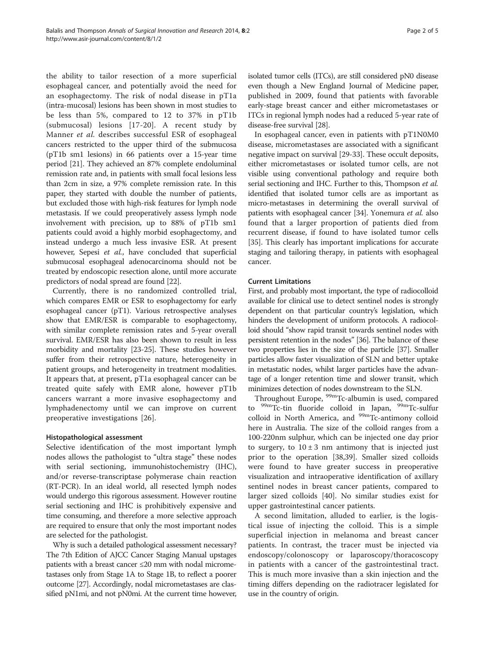the ability to tailor resection of a more superficial esophageal cancer, and potentially avoid the need for an esophagectomy. The risk of nodal disease in pT1a (intra-mucosal) lesions has been shown in most studies to be less than 5%, compared to 12 to 37% in pT1b (submucosal) lesions [[17-20\]](#page-3-0). A recent study by Manner et al. describes successful ESR of esophageal cancers restricted to the upper third of the submucosa (pT1b sm1 lesions) in 66 patients over a 15-year time period [[21](#page-3-0)]. They achieved an 87% complete endoluminal remission rate and, in patients with small focal lesions less than 2cm in size, a 97% complete remission rate. In this paper, they started with double the number of patients, but excluded those with high-risk features for lymph node metastasis. If we could preoperatively assess lymph node involvement with precision, up to 88% of pT1b sm1 patients could avoid a highly morbid esophagectomy, and instead undergo a much less invasive ESR. At present however, Sepesi et al., have concluded that superficial submucosal esophageal adenocarcinoma should not be treated by endoscopic resection alone, until more accurate predictors of nodal spread are found [[22](#page-3-0)].

Currently, there is no randomized controlled trial, which compares EMR or ESR to esophagectomy for early esophageal cancer (pT1). Various retrospective analyses show that EMR/ESR is comparable to esophagectomy, with similar complete remission rates and 5-year overall survival. EMR/ESR has also been shown to result in less morbidity and mortality [[23](#page-3-0)-[25\]](#page-3-0). These studies however suffer from their retrospective nature, heterogeneity in patient groups, and heterogeneity in treatment modalities. It appears that, at present, pT1a esophageal cancer can be treated quite safely with EMR alone, however pT1b cancers warrant a more invasive esophagectomy and lymphadenectomy until we can improve on current preoperative investigations [\[26](#page-3-0)].

# Histopathological assessment

Selective identification of the most important lymph nodes allows the pathologist to "ultra stage" these nodes with serial sectioning, immunohistochemistry (IHC), and/or reverse-transcriptase polymerase chain reaction (RT-PCR). In an ideal world, all resected lymph nodes would undergo this rigorous assessment. However routine serial sectioning and IHC is prohibitively expensive and time consuming, and therefore a more selective approach are required to ensure that only the most important nodes are selected for the pathologist.

Why is such a detailed pathological assessment necessary? The 7th Edition of AJCC Cancer Staging Manual upstages patients with a breast cancer ≤20 mm with nodal micrometastases only from Stage 1A to Stage 1B, to reflect a poorer outcome [[27](#page-3-0)]. Accordingly, nodal micrometastases are classified pN1mi, and not pN0mi. At the current time however, isolated tumor cells (ITCs), are still considered pN0 disease even though a New England Journal of Medicine paper, published in 2009, found that patients with favorable early-stage breast cancer and either micrometastases or ITCs in regional lymph nodes had a reduced 5-year rate of disease-free survival [\[28](#page-3-0)].

In esophageal cancer, even in patients with pT1N0M0 disease, micrometastases are associated with a significant negative impact on survival [[29](#page-3-0)-[33](#page-4-0)]. These occult deposits, either micrometastases or isolated tumor cells, are not visible using conventional pathology and require both serial sectioning and IHC. Further to this, Thompson et al. identified that isolated tumor cells are as important as micro-metastases in determining the overall survival of patients with esophageal cancer [[34](#page-4-0)]. Yonemura et al. also found that a larger proportion of patients died from recurrent disease, if found to have isolated tumor cells [[35](#page-4-0)]. This clearly has important implications for accurate staging and tailoring therapy, in patients with esophageal cancer.

## Current Limitations

First, and probably most important, the type of radiocolloid available for clinical use to detect sentinel nodes is strongly dependent on that particular country's legislation, which hinders the development of uniform protocols. A radiocolloid should "show rapid transit towards sentinel nodes with persistent retention in the nodes" [[36](#page-4-0)]. The balance of these two properties lies in the size of the particle [[37](#page-4-0)]. Smaller particles allow faster visualization of SLN and better uptake in metastatic nodes, whilst larger particles have the advantage of a longer retention time and slower transit, which minimizes detection of nodes downstream to the SLN.

Throughout Europe, 99mTc-albumin is used, compared to <sup>99m</sup>Tc-tin fluoride colloid in Japan, <sup>99m</sup>Tc-sulfur colloid in North America, and <sup>99m</sup>Tc-antimony colloid here in Australia. The size of the colloid ranges from a 100-220nm sulphur, which can be injected one day prior to surgery, to  $10 \pm 3$  nm antimony that is injected just prior to the operation [[38,39](#page-4-0)]. Smaller sized colloids were found to have greater success in preoperative visualization and intraoperative identification of axillary sentinel nodes in breast cancer patients, compared to larger sized colloids [\[40](#page-4-0)]. No similar studies exist for upper gastrointestinal cancer patients.

A second limitation, alluded to earlier, is the logistical issue of injecting the colloid. This is a simple superficial injection in melanoma and breast cancer patients. In contrast, the tracer must be injected via endoscopy/colonoscopy or laparoscopy/thoracoscopy in patients with a cancer of the gastrointestinal tract. This is much more invasive than a skin injection and the timing differs depending on the radiotracer legislated for use in the country of origin.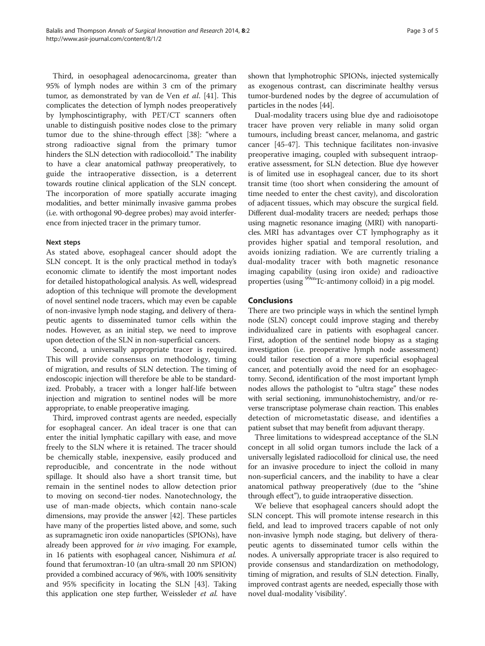Third, in oesophageal adenocarcinoma, greater than 95% of lymph nodes are within 3 cm of the primary tumor, as demonstrated by van de Ven et al. [\[41](#page-4-0)]. This complicates the detection of lymph nodes preoperatively by lymphoscintigraphy, with PET/CT scanners often unable to distinguish positive nodes close to the primary tumor due to the shine-through effect [\[38](#page-4-0)]: "where a strong radioactive signal from the primary tumor hinders the SLN detection with radiocolloid." The inability to have a clear anatomical pathway preoperatively, to guide the intraoperative dissection, is a deterrent towards routine clinical application of the SLN concept. The incorporation of more spatially accurate imaging modalities, and better minimally invasive gamma probes (i.e. with orthogonal 90-degree probes) may avoid interference from injected tracer in the primary tumor.

### Next steps

As stated above, esophageal cancer should adopt the SLN concept. It is the only practical method in today's economic climate to identify the most important nodes for detailed histopathological analysis. As well, widespread adoption of this technique will promote the development of novel sentinel node tracers, which may even be capable of non-invasive lymph node staging, and delivery of therapeutic agents to disseminated tumor cells within the nodes. However, as an initial step, we need to improve upon detection of the SLN in non-superficial cancers.

Second, a universally appropriate tracer is required. This will provide consensus on methodology, timing of migration, and results of SLN detection. The timing of endoscopic injection will therefore be able to be standardized. Probably, a tracer with a longer half-life between injection and migration to sentinel nodes will be more appropriate, to enable preoperative imaging.

Third, improved contrast agents are needed, especially for esophageal cancer. An ideal tracer is one that can enter the initial lymphatic capillary with ease, and move freely to the SLN where it is retained. The tracer should be chemically stable, inexpensive, easily produced and reproducible, and concentrate in the node without spillage. It should also have a short transit time, but remain in the sentinel nodes to allow detection prior to moving on second-tier nodes. Nanotechnology, the use of man-made objects, which contain nano-scale dimensions, may provide the answer [[42](#page-4-0)]. These particles have many of the properties listed above, and some, such as supramagnetic iron oxide nanoparticles (SPIONs), have already been approved for in vivo imaging. For example, in 16 patients with esophageal cancer, Nishimura et al. found that ferumoxtran-10 (an ultra-small 20 nm SPION) provided a combined accuracy of 96%, with 100% sensitivity and 95% specificity in locating the SLN [[43\]](#page-4-0). Taking this application one step further, Weissleder et al. have shown that lymphotrophic SPIONs, injected systemically as exogenous contrast, can discriminate healthy versus tumor-burdened nodes by the degree of accumulation of particles in the nodes [[44](#page-4-0)].

Dual-modality tracers using blue dye and radioisotope tracer have proven very reliable in many solid organ tumours, including breast cancer, melanoma, and gastric cancer [[45-47](#page-4-0)]. This technique facilitates non-invasive preoperative imaging, coupled with subsequent intraoperative assessment, for SLN detection. Blue dye however is of limited use in esophageal cancer, due to its short transit time (too short when considering the amount of time needed to enter the chest cavity), and discoloration of adjacent tissues, which may obscure the surgical field. Different dual-modality tracers are needed; perhaps those using magnetic resonance imaging (MRI) with nanoparticles. MRI has advantages over CT lymphography as it provides higher spatial and temporal resolution, and avoids ionizing radiation. We are currently trialing a dual-modality tracer with both magnetic resonance imaging capability (using iron oxide) and radioactive properties (using <sup>99m</sup>Tc-antimony colloid) in a pig model.

# Conclusions

There are two principle ways in which the sentinel lymph node (SLN) concept could improve staging and thereby individualized care in patients with esophageal cancer. First, adoption of the sentinel node biopsy as a staging investigation (i.e. preoperative lymph node assessment) could tailor resection of a more superficial esophageal cancer, and potentially avoid the need for an esophagectomy. Second, identification of the most important lymph nodes allows the pathologist to "ultra stage" these nodes with serial sectioning, immunohistochemistry, and/or reverse transcriptase polymerase chain reaction. This enables detection of micrometastatic disease, and identifies a patient subset that may benefit from adjuvant therapy.

Three limitations to widespread acceptance of the SLN concept in all solid organ tumors include the lack of a universally legislated radiocolloid for clinical use, the need for an invasive procedure to inject the colloid in many non-superficial cancers, and the inability to have a clear anatomical pathway preoperatively (due to the "shine through effect"), to guide intraoperative dissection.

We believe that esophageal cancers should adopt the SLN concept. This will promote intense research in this field, and lead to improved tracers capable of not only non-invasive lymph node staging, but delivery of therapeutic agents to disseminated tumor cells within the nodes. A universally appropriate tracer is also required to provide consensus and standardization on methodology, timing of migration, and results of SLN detection. Finally, improved contrast agents are needed, especially those with novel dual-modality 'visibility'.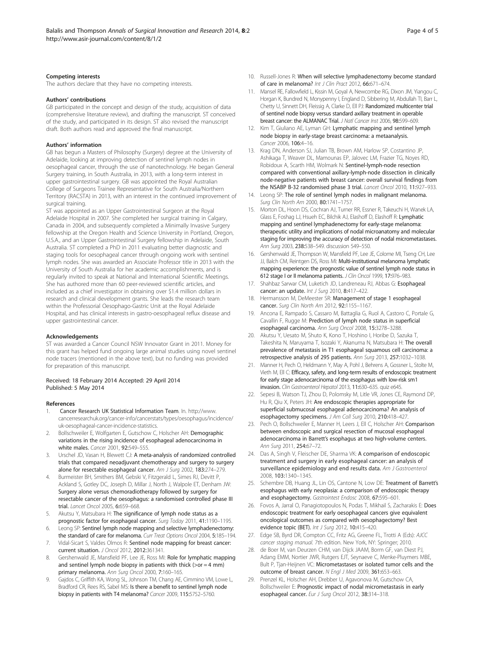#### <span id="page-3-0"></span>Competing interests

The authors declare that they have no competing interests.

#### Authors' contributions

GB participated in the concept and design of the study, acquisition of data (comprehensive literature review), and drafting the manuscript. ST conceived of the study, and participated in its design. ST also revised the manuscript draft. Both authors read and approved the final manuscript.

#### Authors' information

GB has begun a Masters of Philosophy (Surgery) degree at the University of Adelaide, looking at improving detection of sentinel lymph nodes in oesophageal cancer, through the use of nanotechnology. He began General Surgery training, in South Australia, in 2013, with a long-term interest in upper gastrointestinal surgery. GB was appointed the Royal Australian College of Surgeons Trainee Representative for South Australia/Northern Territory (RACSTA) in 2013, with an interest in the continued improvement of surgical training.

ST was appointed as an Upper Gastrointestinal Surgeon at the Royal Adelaide Hospital in 2007. She completed her surgical training in Calgary, Canada in 2004, and subsequently completed a Minimally Invasive Surgery fellowship at the Oregon Health and Science University in Portland, Oregon, U.S.A., and an Upper Gastrointestinal Surgery fellowship in Adelaide, South Australia. ST completed a PhD in 2011 evaluating better diagnostic and staging tools for oesophageal cancer through ongoing work with sentinel lymph nodes. She was awarded an Associate Professor title in 2013 with the University of South Australia for her academic accomplishments, and is regularly invited to speak at National and International Scientific Meetings. She has authored more than 60 peer-reviewed scientific articles, and included as a chief investigator in obtaining over \$1.4 million dollars in research and clinical development grants. She leads the research team within the Professorial Oesophago-Gastric Unit at the Royal Adelaide Hospital, and has clinical interests in gastro-oesophageal reflux disease and upper gastrointestinal cancer.

#### Acknowledgements

ST was awarded a Cancer Council NSW Innovator Grant in 2011. Money for this grant has helped fund ongoing large animal studies using novel sentinel node tracers (mentioned in the above text), but no funding was provided for preparation of this manuscript.

#### Received: 18 February 2014 Accepted: 29 April 2014 Published: 5 May 2014

#### References

- Cancer Research UK Statistical Information Team. In. [http://www.](http://www.cancerresearchuk.org/cancer-info/cancerstats/types/oesophagus/incidence/uk-oesophageal-cancer-incidence-statistics) [cancerresearchuk.org/cancer-info/cancerstats/types/oesophagus/incidence/](http://www.cancerresearchuk.org/cancer-info/cancerstats/types/oesophagus/incidence/uk-oesophageal-cancer-incidence-statistics) [uk-oesophageal-cancer-incidence-statistics.](http://www.cancerresearchuk.org/cancer-info/cancerstats/types/oesophagus/incidence/uk-oesophageal-cancer-incidence-statistics)
- 2. Bollschweiler E, Wolfgarten E, Gutschow C, Holscher AH: Demographic variations in the rising incidence of esophageal adenocarcinoma in white males. Cancer 2001, 92:549–555.
- 3. Urschel JD, Vasan H, Blewett CJ: A meta-analysis of randomized controlled trials that compared neoadjuvant chemotherapy and surgery to surgery alone for resectable esophageal cancer. Am J Surg 2002, 183:274-279.
- 4. Burmeister BH, Smithers BM, Gebski V, Fitzgerald L, Simes RJ, Devitt P, Ackland S, Gotley DC, Joseph D, Millar J, North J, Walpole ET, Denham JW: Surgery alone versus chemoradiotherapy followed by surgery for resectable cancer of the oesophagus: a randomised controlled phase III trial. Lancet Oncol 2005, 6:659-668.
- 5. Akutsu Y, Matsubara H: The significance of lymph node status as a prognostic factor for esophageal cancer. Surg Today 2011, 41:1190–1195.
- 6. Leong SP: Sentinel lymph node mapping and selective lymphadenectomy: the standard of care for melanoma. Curr Treat Options Oncol 2004, 5:185-194.
- 7. Vidal-Sicart S, Valdes Olmos R: Sentinel node mapping for breast cancer: current situation. J Oncol 2012, 2012:361341.
- 8. Gershenwald JE, Mansfield PF, Lee JE, Ross MI: Role for lymphatic mapping and sentinel lymph node biopsy in patients with thick  $(> or = 4$  mm) primary melanoma. Ann Surg Oncol 2000, 7:160-165
- Gajdos C, Griffith KA, Wong SL, Johnson TM, Chang AE, Cimmino VM, Lowe L, Bradford CR, Rees RS, Sabel MS: Is there a benefit to sentinel lymph node biopsy in patients with T4 melanoma? Cancer 2009, 115:5752–5760.
- 10. Russell-Jones R: When will selective lymphadenectomy become standard of care in melanoma? Int J Clin Pract 2012, 66:671–674.
- 11. Mansel RE, Fallowfield L, Kissin M, Goyal A, Newcombe RG, Dixon JM, Yiangou C, Horgan K, Bundred N, Monypenny I, England D, Sibbering M, Abdullah TI, Barr L, Chetty U, Sinnett DH, Fleissig A, Clarke D, Ell PJ: Randomized multicenter trial of sentinel node biopsy versus standard axillary treatment in operable breast cancer: the ALMANAC Trial. J Natl Cancer Inst 2006, 98:599–609.
- 12. Kim T, Giuliano AE, Lyman GH: Lymphatic mapping and sentinel lymph node biopsy in early-stage breast carcinoma: a metaanalysis. Cancer 2006, 106:4–16.
- 13. Krag DN, Anderson SJ, Julian TB, Brown AM, Harlow SP, Costantino JP, Ashikaga T, Weaver DL, Mamounas EP, Jalovec LM, Frazier TG, Noyes RD, Robidoux A, Scarth HM, Wolmark N: Sentinel-lymph-node resection compared with conventional axillary-lymph-node dissection in clinically node-negative patients with breast cancer: overall survival findings from the NSABP B-32 randomised phase 3 trial. Lancet Oncol 2010, 11:927–933.
- 14. Leong SP: The role of sentinel lymph nodes in malignant melanoma. Surg Clin North Am 2000, 80:1741-1757.
- 15. Morton DL, Hoon DS, Cochran AJ, Turner RR, Essner R, Takeuchi H, Wanek LA, Glass E, Foshag LJ, Hsueh EC, Bilchik AJ, Elashoff D, Elashoff R: Lymphatic mapping and sentinel lymphadenectomy for early-stage melanoma: therapeutic utility and implications of nodal microanatomy and molecular staging for improving the accuracy of detection of nodal micrometastases. Ann Surg 2003, 238:538–549. discussion 549–550.
- 16. Gershenwald JE, Thompson W, Mansfield PF, Lee JE, Colome MI, Tseng CH, Lee JJ, Balch CM, Reintgen DS, Ross MI: Multi-institutional melanoma lymphatic mapping experience: the prognostic value of sentinel lymph node status in 612 stage I or II melanoma patients. J Clin Oncol 1999, 17:976–983.
- 17. Shahbaz Sarwar CM, Luketich JD, Landreneau RJ, Abbas G: Esophageal cancer: an update. Int J Surg 2010, 8:417-422.
- 18. Hermansson M, DeMeester SR: Management of stage 1 esophageal cancer. Surg Clin North Am 2012, 92:1155–1167.
- 19. Ancona E, Rampado S, Cassaro M, Battaglia G, Ruol A, Castoro C, Portale G, Cavallin F, Rugge M: Prediction of lymph node status in superficial esophageal carcinoma. Ann Surg Oncol 2008, 15:3278–3288.
- 20. Akutsu Y, Uesato M, Shuto K, Kono T, Hoshino I, Horibe D, Sazuka T, Takeshita N, Maruyama T, Isozaki Y, Akanuma N, Matsubara H: The overall prevalence of metastasis in T1 esophageal squamous cell carcinoma: a retrospective analysis of 295 patients. Ann Surg 2013, 257:1032–1038.
- 21. Manner H, Pech O, Heldmann Y, May A, Pohl J, Behrens A, Gossner L, Stolte M, Vieth M, Ell C: Efficacy, safety, and long-term results of endoscopic treatment for early stage adenocarcinoma of the esophagus with low-risk sm1 invasion. Clin Gastroenterol Hepatol 2013, 11:630–635. quiz e645.
- 22. Sepesi B, Watson TJ, Zhou D, Polomsky M, Litle VR, Jones CE, Raymond DP, Hu R, Qiu X, Peters JH: Are endoscopic therapies appropriate for superficial submucosal esophageal adenocarcinoma? An analysis of esophagectomy specimens. J Am Coll Surg 2010, 210:418–427.
- 23. Pech O, Bollschweiler E, Manner H, Leers J, Ell C, Holscher AH: Comparison between endoscopic and surgical resection of mucosal esophageal adenocarcinoma in Barrett's esophagus at two high-volume centers. Ann Surg 2011, 254:67–72.
- 24. Das A, Singh V, Fleischer DE, Sharma VK: A comparison of endoscopic treatment and surgery in early esophageal cancer: an analysis of surveillance epidemiology and end results data. Am J Gastroenterol 2008, 103:1340–1345.
- 25. Schembre DB, Huang JL, Lin OS, Cantone N, Low DE: Treatment of Barrett's esophagus with early neoplasia: a comparison of endoscopic therapy and esophagectomy. Gastrointest Endosc 2008, 67:595–601.
- 26. Fovos A, Jarral O, Panagiotopoulos N, Podas T, Mikhail S, Zacharakis E: Does endoscopic treatment for early oesophageal cancers give equivalent oncological outcomes as compared with oesophagectomy? Best evidence topic (BET). Int J Surg 2012, 10:415–420.
- 27. Edge SB, Byrd DR, Compton CC, Fritz AG, Greene FL, Trotti A (Eds): AJCC cancer staging manual. 7th edition. New York, NY: Springer; 2010.
- 28. de Boer M, van Deurzen CHM, van Dijck JAAM, Borm GF, van Diest PJ, Adang EMM, Nortier JWR, Rutgers EJT, Seynaeve C, Menke-Pluymers MBE, Bult P, Tjan-Heijnen VC: Micrometastases or isolated tumor cells and the outcome of breast cancer. N Engl J Med 2009, 361:653–663.
- 29. Prenzel KL, Holscher AH, Drebber U, Agavonova M, Gutschow CA, Bollschweiler E: Prognostic impact of nodal micrometastasis in early esophageal cancer. Eur J Surg Oncol 2012, 38:314–318.